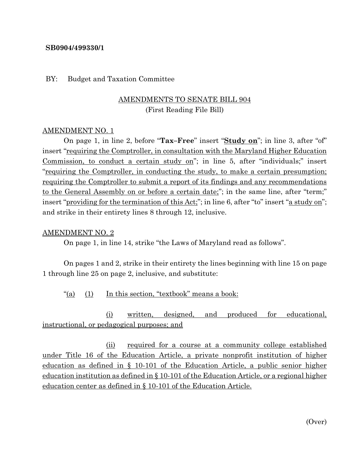### **SB0904/499330/1**

#### BY: Budget and Taxation Committee

# AMENDMENTS TO SENATE BILL 904 (First Reading File Bill)

#### AMENDMENT NO. 1

On page 1, in line 2, before "**Tax–Free**" insert "**Study on**"; in line 3, after "of" insert "requiring the Comptroller, in consultation with the Maryland Higher Education Commission, to conduct a certain study on"; in line 5, after "individuals;" insert "requiring the Comptroller, in conducting the study, to make a certain presumption; requiring the Comptroller to submit a report of its findings and any recommendations to the General Assembly on or before a certain date;"; in the same line, after "term;" insert "providing for the termination of this Act;"; in line 6, after "to" insert "a study on"; and strike in their entirety lines 8 through 12, inclusive.

#### AMENDMENT NO. 2

On page 1, in line 14, strike "the Laws of Maryland read as follows".

On pages 1 and 2, strike in their entirety the lines beginning with line 15 on page 1 through line 25 on page 2, inclusive, and substitute:

"(a) (1) In this section, "textbook" means a book:

(i) written, designed, and produced for educational, instructional, or pedagogical purposes; and

(ii) required for a course at a community college established under Title 16 of the Education Article, a private nonprofit institution of higher education as defined in § 10-101 of the Education Article, a public senior higher education institution as defined in § 10-101 of the Education Article, or a regional higher education center as defined in § 10-101 of the Education Article.